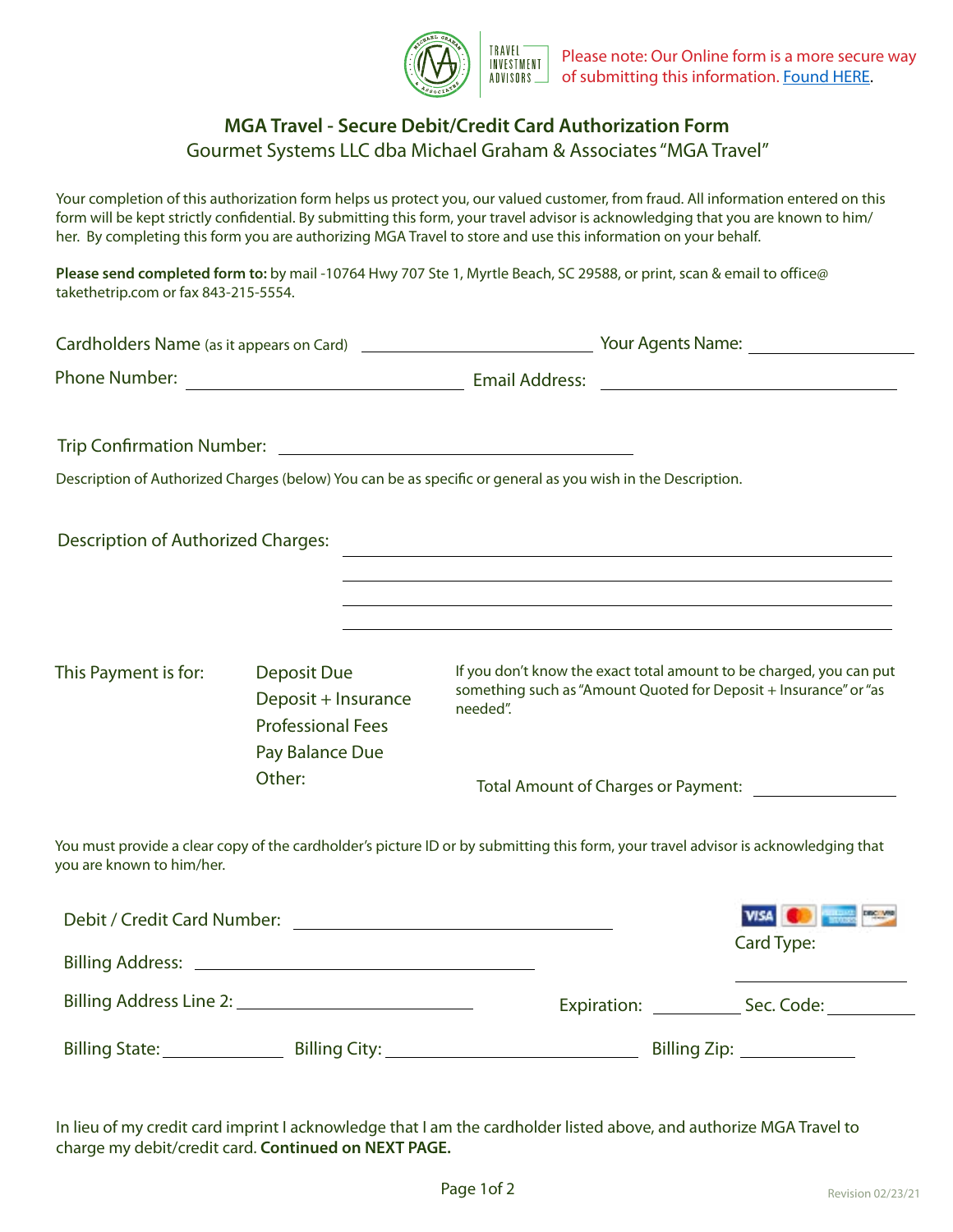

## **MGA Travel - Secure Debit/Credit Card Authorization Form**

Gourmet Systems LLC dba Michael Graham & Associates "MGA Travel"

Your completion of this authorization form helps us protect you, our valued customer, from fraud. All information entered on this form will be kept strictly confidential. By submitting this form, your travel advisor is acknowledging that you are known to him/ her. By completing this form you are authorizing MGA Travel to store and use this information on your behalf.

**Please send completed form to:** by mail -10764 Hwy 707 Ste 1, Myrtle Beach, SC 29588, or print, scan & email to office@ takethetrip.com or fax 843-215-5554.

|                                           | Phone Number: <u>Number:</u> Email Address: <u>Number: 2006</u>                                                                    |                                                                              |  |                                                                     |  |
|-------------------------------------------|------------------------------------------------------------------------------------------------------------------------------------|------------------------------------------------------------------------------|--|---------------------------------------------------------------------|--|
|                                           |                                                                                                                                    |                                                                              |  |                                                                     |  |
|                                           | Description of Authorized Charges (below) You can be as specific or general as you wish in the Description.                        |                                                                              |  |                                                                     |  |
| <b>Description of Authorized Charges:</b> |                                                                                                                                    |                                                                              |  |                                                                     |  |
| This Payment is for:                      | <b>Deposit Due</b>                                                                                                                 |                                                                              |  | If you don't know the exact total amount to be charged, you can put |  |
|                                           | Deposit + Insurance<br><b>Professional Fees</b><br>Pay Balance Due                                                                 | something such as "Amount Quoted for Deposit + Insurance" or "as<br>needed". |  |                                                                     |  |
|                                           | Other:                                                                                                                             |                                                                              |  | Total Amount of Charges or Payment:                                 |  |
| you are known to him/her.                 | You must provide a clear copy of the cardholder's picture ID or by submitting this form, your travel advisor is acknowledging that |                                                                              |  |                                                                     |  |
|                                           | Debit / Credit Card Number: Lawrence Contract Contract Contract Contract Contract Contract Contract Contract Co                    |                                                                              |  | VISA (D) THE MODEL                                                  |  |
|                                           |                                                                                                                                    |                                                                              |  | Card Type:                                                          |  |
|                                           |                                                                                                                                    | Expiration:                                                                  |  | Sec. Code:                                                          |  |

| <b>Billing State:</b> | <b>Billing City:</b> | <b>Billing Zip:</b> |
|-----------------------|----------------------|---------------------|

In lieu of my credit card imprint I acknowledge that I am the cardholder listed above, and authorize MGA Travel to charge my debit/credit card. **Continued on NEXT PAGE.** 

Expiration: \_\_\_\_\_\_\_\_\_\_\_\_\_\_\_ Sec. Code: